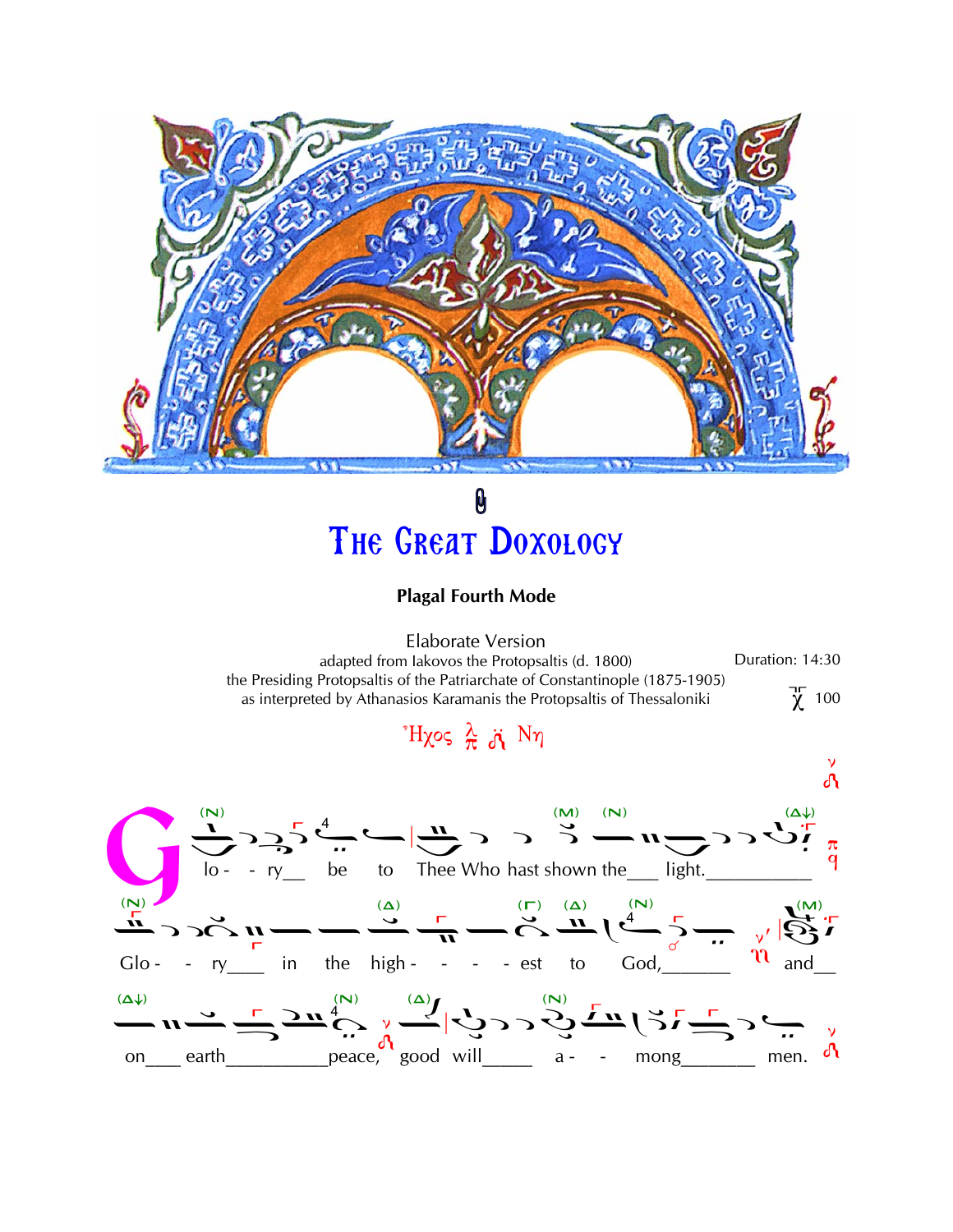

## 0 THE GREAT DOXOLOGY

## **Plagal Fourth Mode**

**Elaborate Version** Duration: 14:30 adapted from lakovos the Protopsaltis (d. 1800) the Presiding Protopsaltis of the Patriarchate of Constantinople (1875-1905)  $\chi$  100 as interpreted by Athanasios Karamanis the Protopsaltis of Thessaloniki

 $H\chi$ ος λ λ Νη

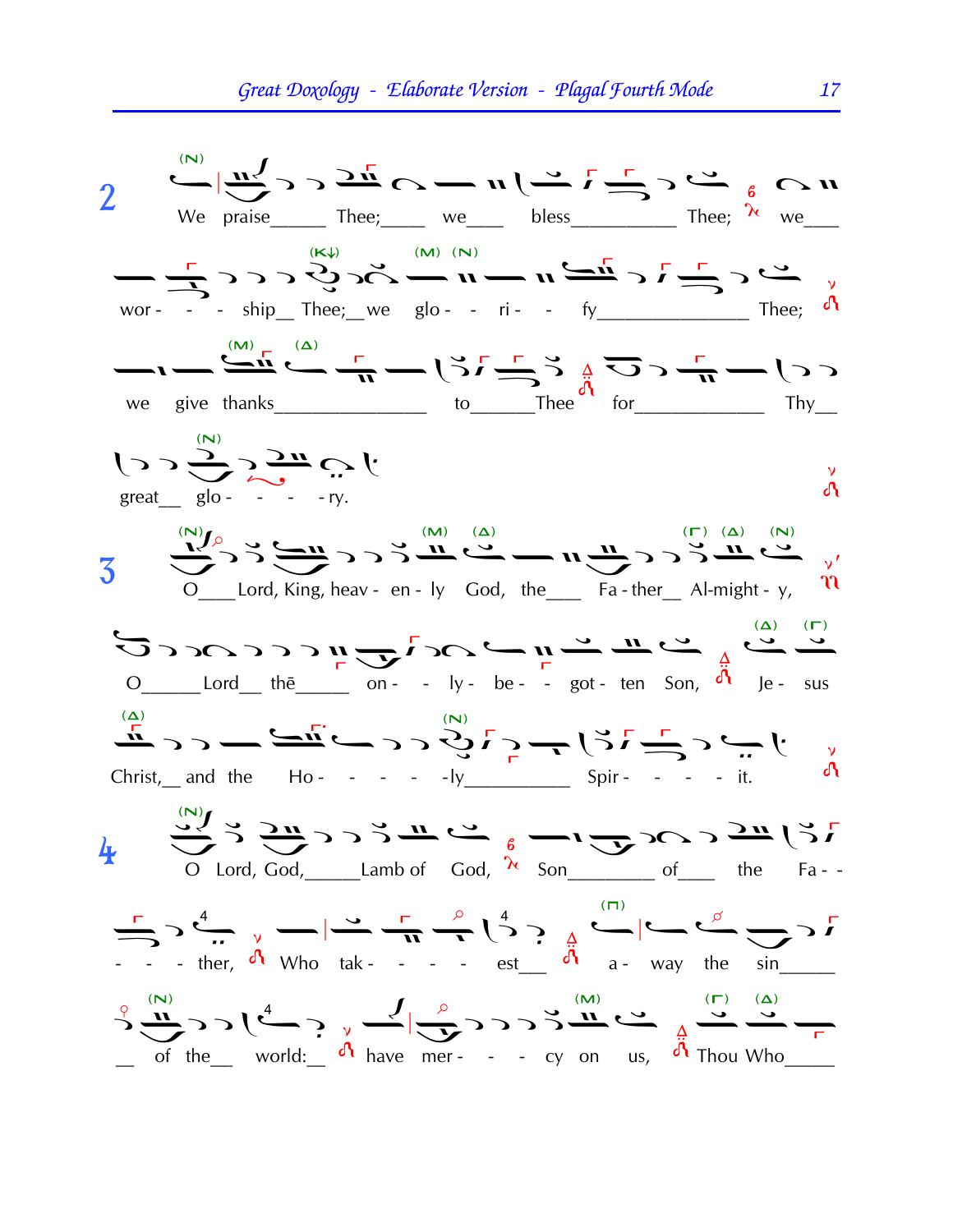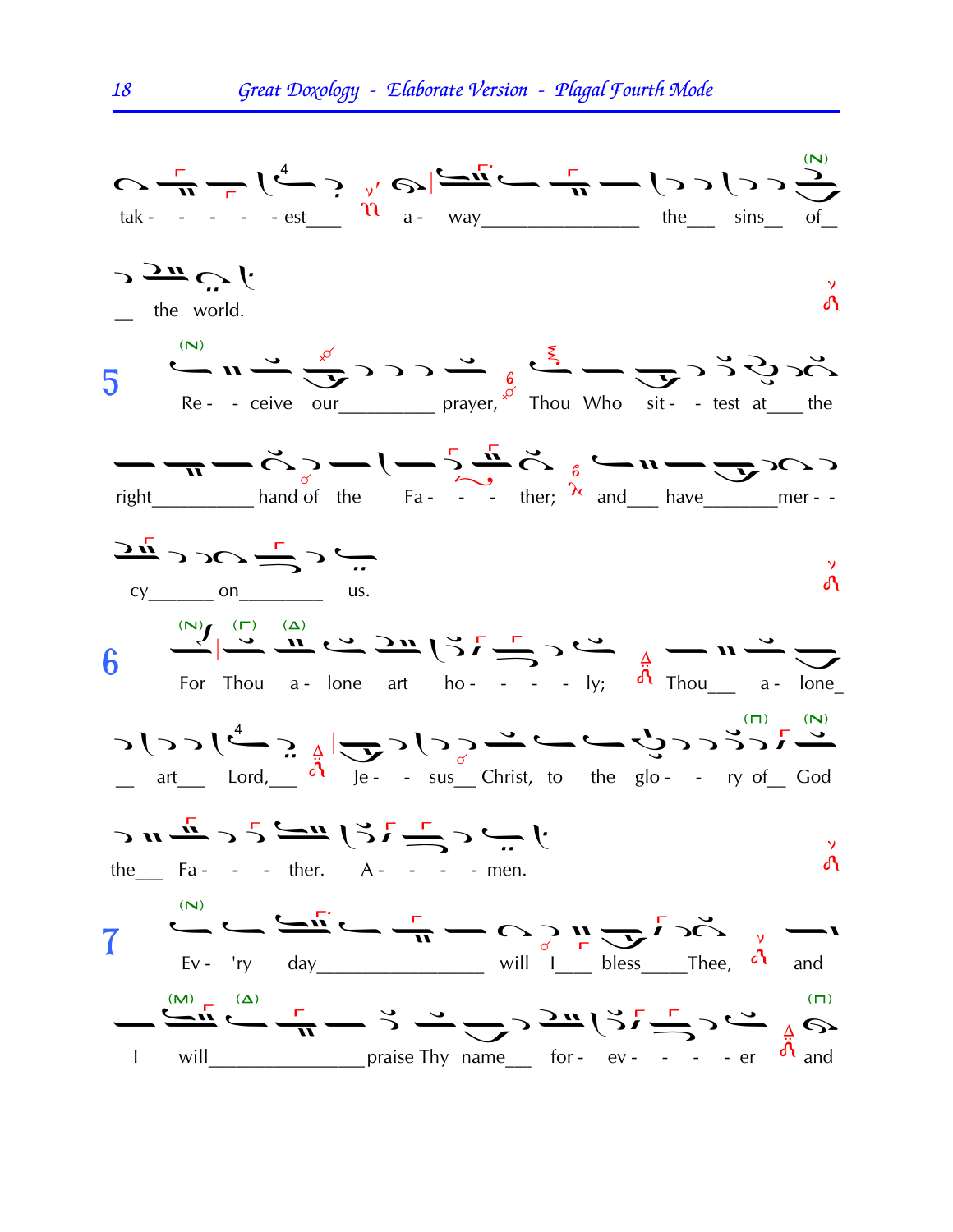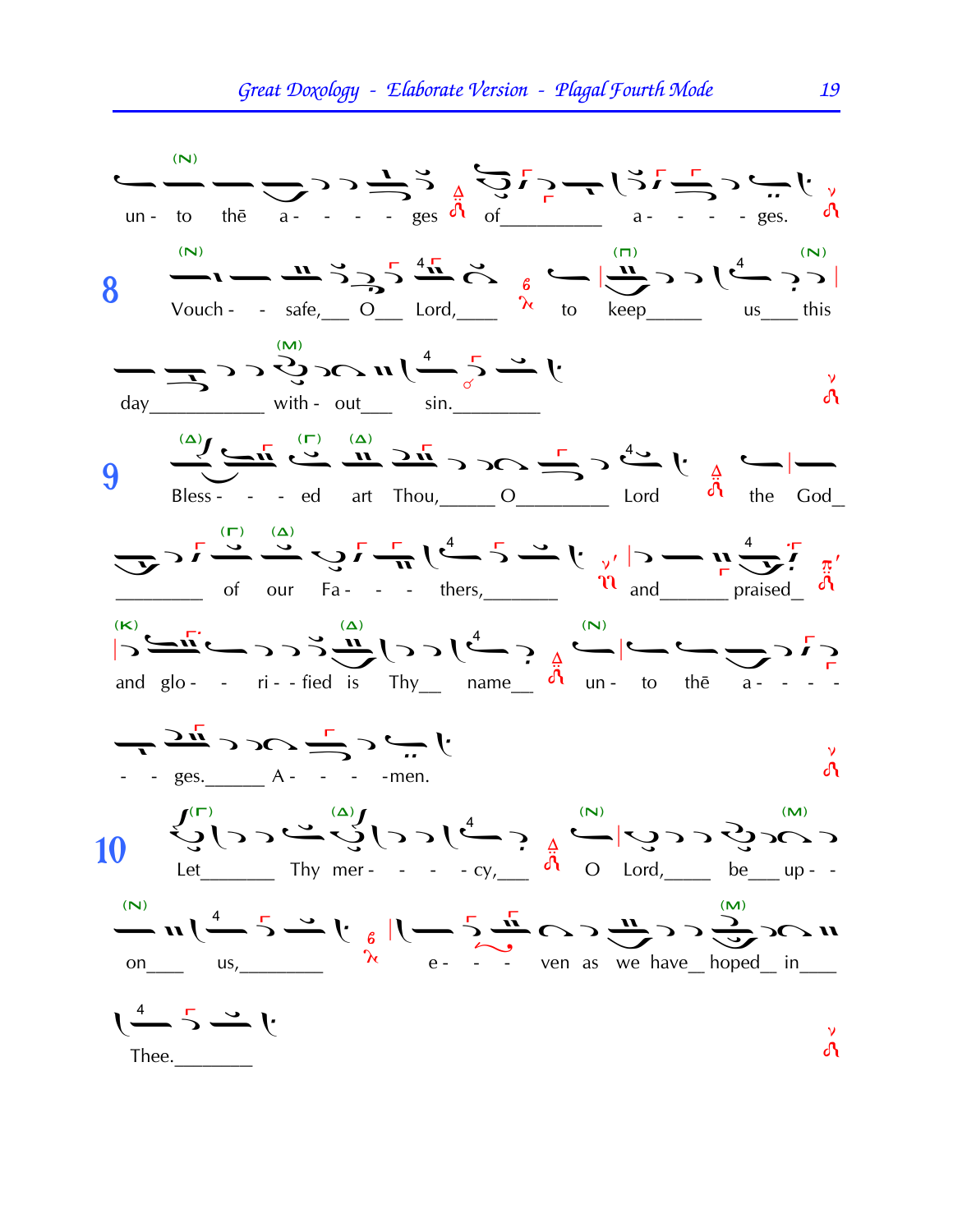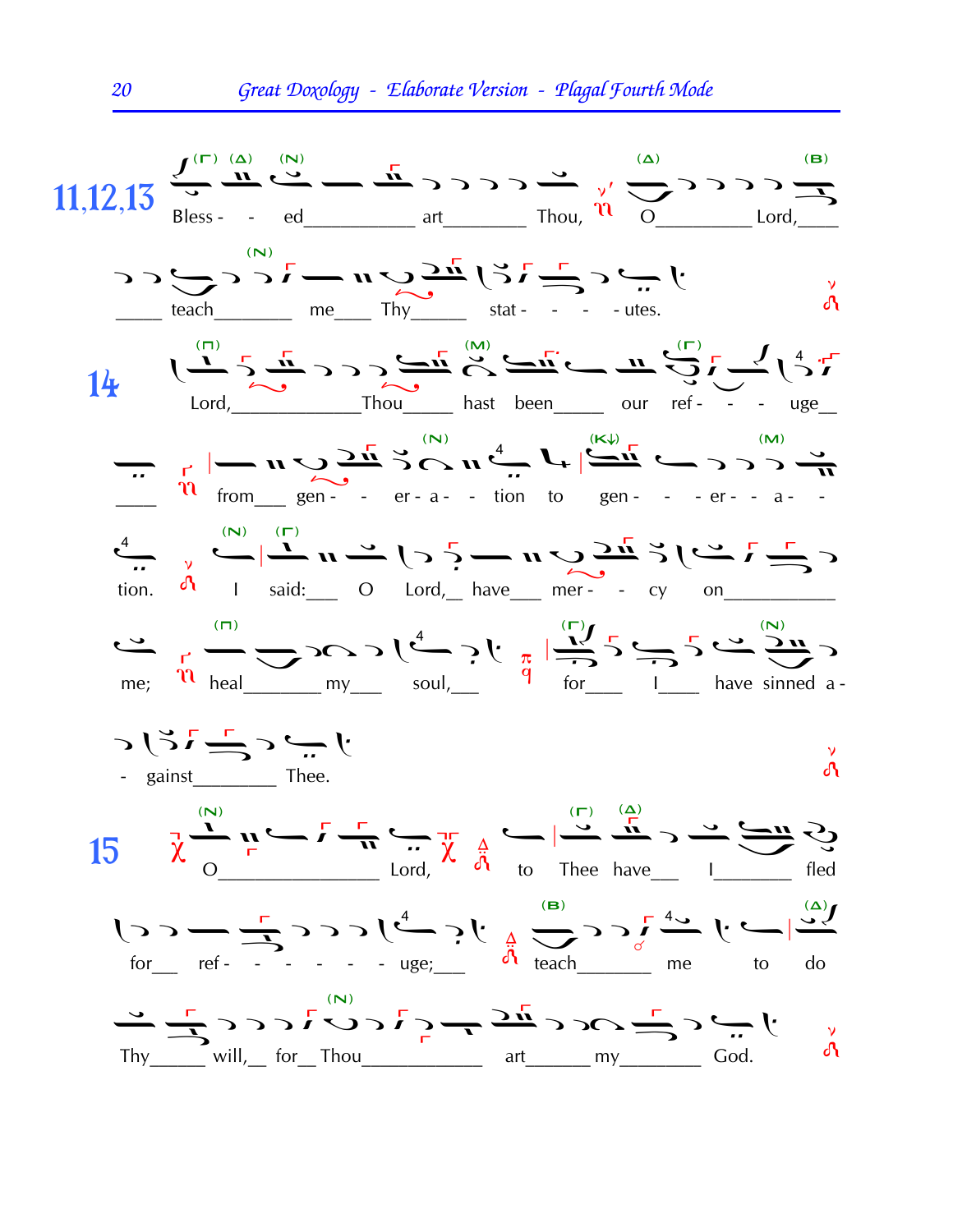

20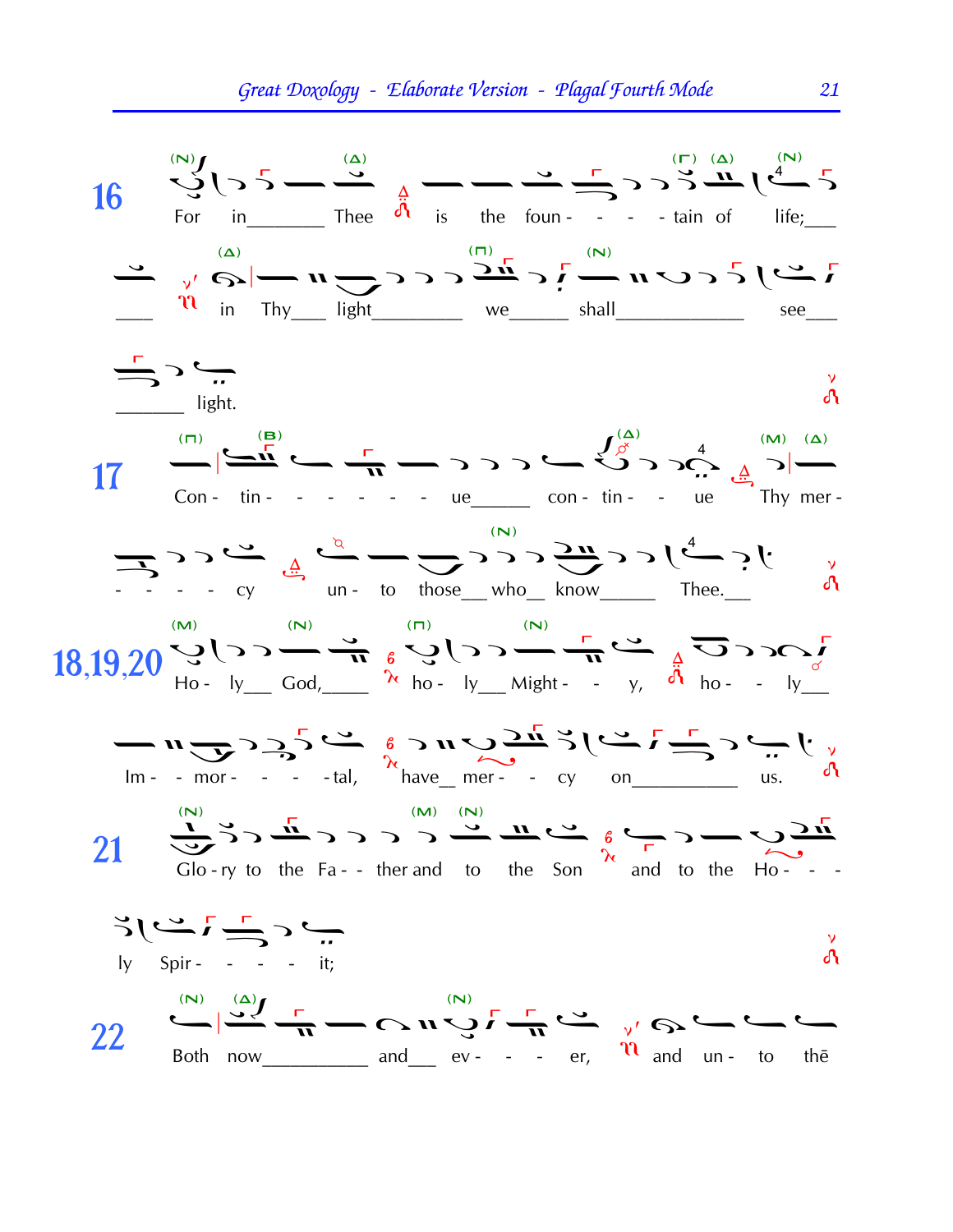